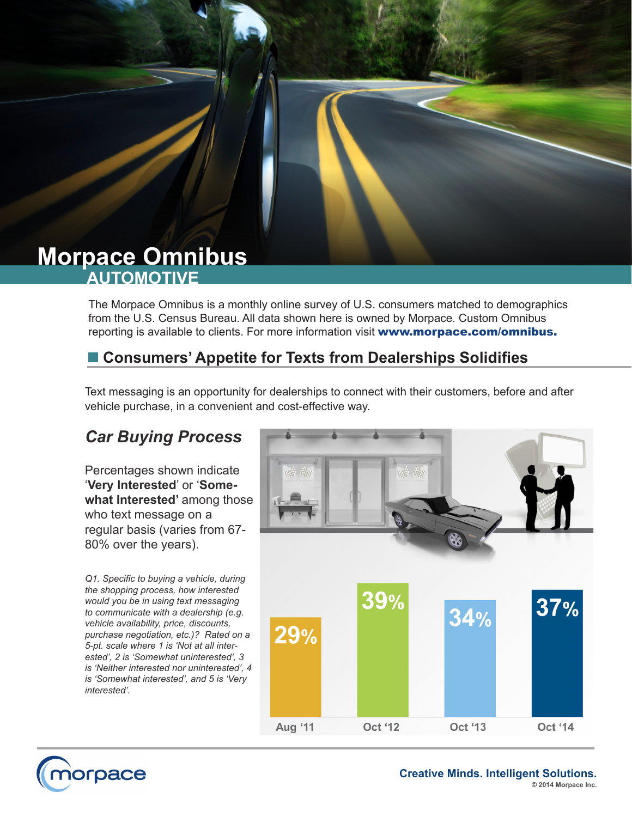# **AUTOMOTIVE Morpace Omnibus**

The Morpace Omnibus is a monthly online survey of U.S. consumers matched to demographics from the U.S. Census Bureau. All data shown here is owned by Morpace. Custom Omnibus reporting is available to clients. For more information visit www.morpace.com/omnibus.

### ■ Consumers' Appetite for Texts from Dealerships Solidifies

Text messaging is an opportunity for dealerships to connect with their customers, before and after vehicle purchase, in a convenient and cost-effective way.

## *Car Buying Process*

Percentages shown indicate '**Very Interested**' or '**Some**what Interested' among those who text message on a regular basis (varies from 67- 80% over the years).

*Q1. Specific to buying a vehicle, during the shopping process, how interested would you be in using text messaging to communicate with a dealership (e.g. vehicle availability, price, discounts, purchase negotiation, etc.)? Rated on a 5-pt. scale where 1 is 'Not at all interested', 2 is 'Somewhat uninterested', 3 is 'Neither interested nor uninterested', 4 is 'Somewhat interested', and 5 is 'Very interested'.*